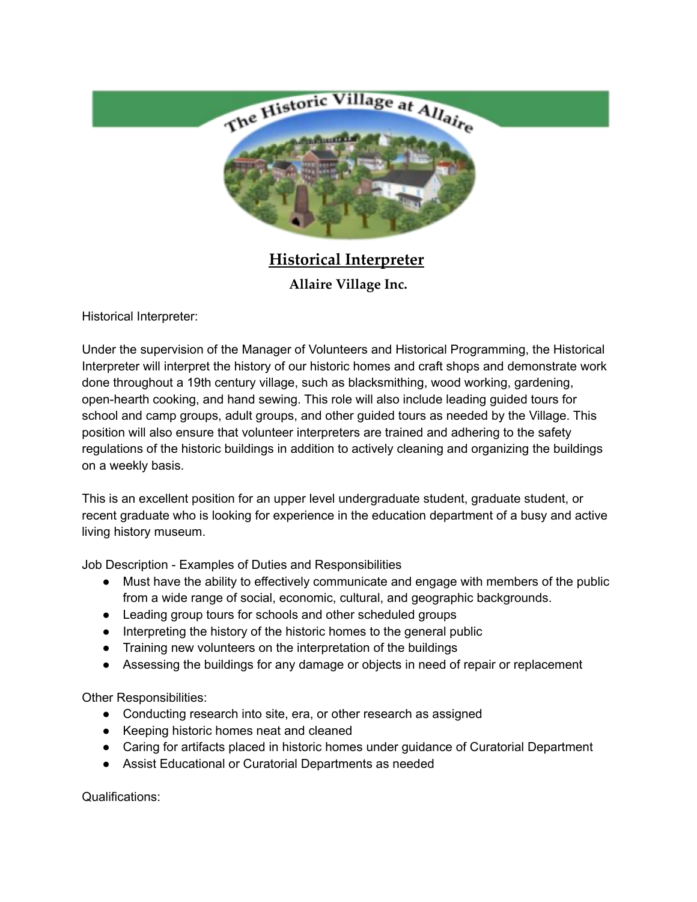

**Historical Interpreter Allaire Village Inc.**

Historical Interpreter:

Under the supervision of the Manager of Volunteers and Historical Programming, the Historical Interpreter will interpret the history of our historic homes and craft shops and demonstrate work done throughout a 19th century village, such as blacksmithing, wood working, gardening, open-hearth cooking, and hand sewing. This role will also include leading guided tours for school and camp groups, adult groups, and other guided tours as needed by the Village. This position will also ensure that volunteer interpreters are trained and adhering to the safety regulations of the historic buildings in addition to actively cleaning and organizing the buildings on a weekly basis.

This is an excellent position for an upper level undergraduate student, graduate student, or recent graduate who is looking for experience in the education department of a busy and active living history museum.

Job Description - Examples of Duties and Responsibilities

- Must have the ability to effectively communicate and engage with members of the public from a wide range of social, economic, cultural, and geographic backgrounds.
- Leading group tours for schools and other scheduled groups
- Interpreting the history of the historic homes to the general public
- Training new volunteers on the interpretation of the buildings
- Assessing the buildings for any damage or objects in need of repair or replacement

Other Responsibilities:

- Conducting research into site, era, or other research as assigned
- Keeping historic homes neat and cleaned
- Caring for artifacts placed in historic homes under guidance of Curatorial Department
- Assist Educational or Curatorial Departments as needed

Qualifications: